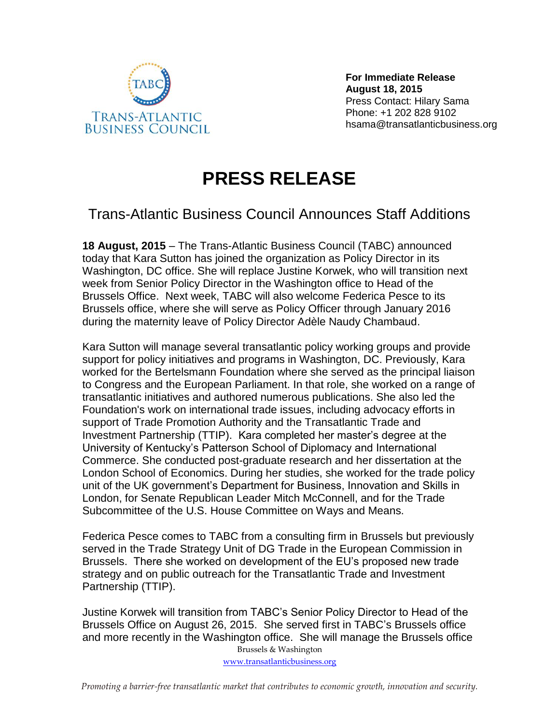

**For Immediate Release August 18, 2015** Press Contact: Hilary Sama Phone: +1 202 828 9102 hsama@transatlanticbusiness.org

## **PRESS RELEASE**

## Trans-Atlantic Business Council Announces Staff Additions

**18 August, 2015** – The Trans-Atlantic Business Council (TABC) announced today that Kara Sutton has joined the organization as Policy Director in its Washington, DC office. She will replace Justine Korwek, who will transition next week from Senior Policy Director in the Washington office to Head of the Brussels Office. Next week, TABC will also welcome Federica Pesce to its Brussels office, where she will serve as Policy Officer through January 2016 during the maternity leave of Policy Director Adèle Naudy Chambaud.

Kara Sutton will manage several transatlantic policy working groups and provide support for policy initiatives and programs in Washington, DC. Previously, Kara worked for the Bertelsmann Foundation where she served as the principal liaison to Congress and the European Parliament. In that role, she worked on a range of transatlantic initiatives and authored numerous publications. She also led the Foundation's work on international trade issues, including advocacy efforts in support of Trade Promotion Authority and the Transatlantic Trade and Investment Partnership (TTIP). Kara completed her master's degree at the University of Kentucky's Patterson School of Diplomacy and International Commerce. She conducted post-graduate research and her dissertation at the London School of Economics. During her studies, she worked for the trade policy unit of the UK government's Department for Business, Innovation and Skills in London, for Senate Republican Leader Mitch McConnell, and for the Trade Subcommittee of the U.S. House Committee on Ways and Means.

Federica Pesce comes to TABC from a consulting firm in Brussels but previously served in the Trade Strategy Unit of DG Trade in the European Commission in Brussels. There she worked on development of the EU's proposed new trade strategy and on public outreach for the Transatlantic Trade and Investment Partnership (TTIP).

Justine Korwek will transition from TABC's Senior Policy Director to Head of the Brussels Office on August 26, 2015. She served first in TABC's Brussels office and more recently in the Washington office. She will manage the Brussels office

Brussels & Washington [www.transatlanticbusiness.org](http://www.transatlanticbusiness.org/)